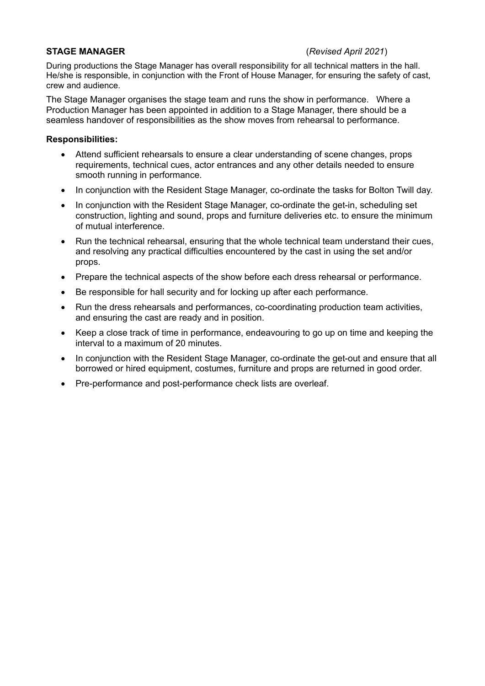# **STAGE MANAGER** (*Revised April 2021*)

During productions the Stage Manager has overall responsibility for all technical matters in the hall. He/she is responsible, in conjunction with the Front of House Manager, for ensuring the safety of cast, crew and audience.

The Stage Manager organises the stage team and runs the show in performance. Where a Production Manager has been appointed in addition to a Stage Manager, there should be a seamless handover of responsibilities as the show moves from rehearsal to performance.

### **Responsibilities:**

- Attend sufficient rehearsals to ensure a clear understanding of scene changes, props requirements, technical cues, actor entrances and any other details needed to ensure smooth running in performance.
- In conjunction with the Resident Stage Manager, co-ordinate the tasks for Bolton Twill day.
- In conjunction with the Resident Stage Manager, co-ordinate the get-in, scheduling set construction, lighting and sound, props and furniture deliveries etc. to ensure the minimum of mutual interference.
- Run the technical rehearsal, ensuring that the whole technical team understand their cues, and resolving any practical difficulties encountered by the cast in using the set and/or props.
- Prepare the technical aspects of the show before each dress rehearsal or performance.
- Be responsible for hall security and for locking up after each performance.
- Run the dress rehearsals and performances, co-coordinating production team activities, and ensuring the cast are ready and in position.
- Keep a close track of time in performance, endeavouring to go up on time and keeping the interval to a maximum of 20 minutes.
- In conjunction with the Resident Stage Manager, co-ordinate the get-out and ensure that all borrowed or hired equipment, costumes, furniture and props are returned in good order.
- Pre-performance and post-performance check lists are overleaf.